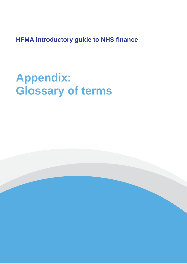**HFMA introductory guide to NHS finance**

## **Appendix: Glossary of terms**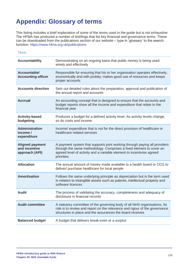## **Appendix: Glossary of terms**

This listing includes a brief explanation of some of the terms used in the guide but is not exhaustive. The HFMA has produced a number of briefings that list key financial and governance terms. These can be downloaded from the publications section of our website – type in 'glossary' to the search function:<https://www.hfma.org.uk/publications>

## **Term**

| <b>Accountability</b>                                     | Demonstrating on an ongoing basis that public money is being used<br>wisely and effectively                                                                                                                                             |
|-----------------------------------------------------------|-----------------------------------------------------------------------------------------------------------------------------------------------------------------------------------------------------------------------------------------|
| Accountable/<br><b>Accounting officer</b>                 | Responsible for ensuring that his or her organisation operates effectively,<br>economically and with probity; makes good use of resources and keeps<br>proper accounts                                                                  |
| <b>Accounts direction</b>                                 | Sets out detailed rules about the preparation, approval and publication of<br>the annual report and accounts                                                                                                                            |
| <b>Accrual</b>                                            | An accounting concept that is designed to ensure that the accounts and<br>budget reports show all the income and expenditure that relate to the<br>financial year                                                                       |
| <b>Activity-based</b><br>budgeting                        | Produces a budget for a defined activity level. As activity levels change,<br>so do costs and income                                                                                                                                    |
| <b>Administration</b><br>income /<br>expenditure          | Income/ expenditure that is not for the direct provision of healthcare or<br>healthcare related services                                                                                                                                |
| <b>Aligned payment</b><br>and incentive<br>approach (API) | A payment system that supports joint working through paying all providers<br>through the same methodology. Comprises a fixed element to cover an<br>agreed level of activity and a variable element to incentivise agreed<br>priorities |
| <b>Allocation</b>                                         | The annual amount of money made available to a health board or CCG to<br>deliver/ purchase healthcare for local people                                                                                                                  |
| <b>Amortisation</b>                                       | Follows the same underlying principle as depreciation but is the term used<br>in relation to intangible assets such as patents, intellectual property and<br>software licences                                                          |
| <b>Audit</b>                                              | The process of validating the accuracy, completeness and adequacy of<br>disclosure in financial records                                                                                                                                 |
| <b>Audit committee</b>                                    | A statutory committee of the governing body of all NHS organisations. Its<br>role is to review and report on the relevance and rigour of the governance<br>structures in place and the assurances the board receives                    |
| <b>Balanced budget</b>                                    | A budget that delivers break-even or a surplus                                                                                                                                                                                          |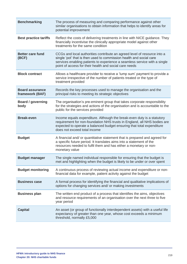| <b>Benchmarking</b>                       | The process of measuring and comparing performance against other<br>similar organisations to obtain information that helps to identify areas for<br>potential improvement                                                                                                              |
|-------------------------------------------|----------------------------------------------------------------------------------------------------------------------------------------------------------------------------------------------------------------------------------------------------------------------------------------|
| <b>Best practice tariffs</b>              | Reflect the costs of delivering treatments in line with NICE guidance. They<br>financially incentivise the clinically appropriate model against other<br>treatments for the same condition                                                                                             |
| <b>Better care fund</b><br>(BCF)          | CCGs and local authorities contribute an agreed level of resource into a<br>single 'pot' that is then used to commission health and social care<br>services enabling patients to experience a seamless service with a single<br>point of access for their health and social care needs |
| <b>Block contract</b>                     | Allows a healthcare provider to receive a 'lump sum' payment to provide a<br>service irrespective of the number of patients treated or the type of<br>treatment provided                                                                                                               |
| <b>Board assurance</b><br>framework (BAF) | Records the key processes used to manage the organisation and the<br>principal risks to meeting its strategic objectives                                                                                                                                                               |
| <b>Board / governing</b><br>body          | The organisation's pre-eminent group that takes corporate responsibility<br>for the strategies and actions of the organisation and is accountable to the<br>public for the services provided                                                                                           |
| <b>Break-even</b>                         | Income equals expenditure. Although the break-even duty is a statutory<br>requirement for non-foundation NHS trusts in England, all NHS bodies are<br>expected to operate a balanced budget ensuring that total expenditure<br>does not exceed total income                            |
| <b>Budget</b>                             | A financial and/ or quantitative statement that is prepared and agreed for<br>a specific future period. It translates aims into a statement of the<br>resources needed to fulfil them and has either a monetary or non-<br>monetary value                                              |
| <b>Budget manager</b>                     | The single named individual responsible for ensuring that the budget is<br>met and highlighting when the budget is likely to be under or over spent                                                                                                                                    |
| <b>Budget monitoring</b>                  | A continuous process of reviewing actual income and expenditure or non-<br>financial data for example, patient activity against the budget                                                                                                                                             |
| <b>Business case</b>                      | A formal process for identifying the financial and qualitative implications of<br>options for changing services and/ or making investments                                                                                                                                             |
| <b>Business plan</b>                      | The written end product of a process that identifies the aims, objectives<br>and resource requirements of an organisation over the next three to five<br>year period                                                                                                                   |
| <b>Capital</b>                            | An asset (or group of functionally interdependent assets) with a useful life<br>expectancy of greater than one year, whose cost exceeds a minimum<br>threshold, normally £5,000                                                                                                        |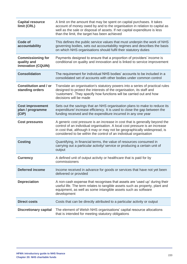| <b>Capital resource</b><br>limit (CRL)                        | A limit on the amount that may be spent on capital purchases. It takes<br>account of money owed by and to the organisation in relation to capital as<br>well as the sale or disposal of assets. If net capital expenditure is less<br>than the limit, the target has been achieved                           |
|---------------------------------------------------------------|--------------------------------------------------------------------------------------------------------------------------------------------------------------------------------------------------------------------------------------------------------------------------------------------------------------|
| Code of<br>accountability                                     | This defines the public service values that must underpin the work of NHS<br>governing bodies, sets out accountability regimes and describes the basis<br>on which NHS organisations should fulfil their statutory duties                                                                                    |
| <b>Commissioning for</b><br>quality and<br>innovation (CQUIN) | Payments designed to ensure that a proportion of providers' income is<br>conditional on quality and innovation and is linked to service improvement                                                                                                                                                          |
| <b>Consolidation</b>                                          | The requirement for individual NHS bodies' accounts to be included in a<br>consolidated set of accounts with other bodies under common control                                                                                                                                                               |
| Constitution and / or<br>standing orders                      | Translate an organisation's statutory powers into a series of practical rules<br>designed to protect the interests of the organisation, its staff and<br>'customers'. They specify how functions will be carried out and how<br>decisions will be made                                                       |
| <b>Cost improvement</b><br>plan / programme<br>(CIP)          | Sets out the savings that an NHS organisation plans to make to reduce its<br>expenditure/ increase efficiency. It is used to close the gap between the<br>funding received and the expenditure incurred in any one year                                                                                      |
|                                                               |                                                                                                                                                                                                                                                                                                              |
| <b>Cost pressures</b>                                         | A generic cost pressure is an increase in cost that is generally beyond the<br>control of an individual organisation. A local cost pressure is an increase<br>in cost that, although it may or may not be geographically widespread, is<br>considered to be within the control of an individual organisation |
| <b>Costing</b>                                                | Quantifying, in financial terms, the value of resources consumed in<br>carrying out a particular activity/ service or producing a certain unit of<br>output                                                                                                                                                  |
| <b>Currency</b>                                               | A defined unit of output activity or healthcare that is paid for by<br>commissioners                                                                                                                                                                                                                         |
| <b>Deferred income</b>                                        | Income received in advance for goods or services that have not yet been<br>delivered or provided                                                                                                                                                                                                             |
| <b>Depreciation</b>                                           | A non-cash expense that recognises that assets are 'used up' during their<br>useful life. The term relates to tangible assets such as property, plant and<br>equipment, as well as some intangible assets such as software<br>development                                                                    |
| <b>Direct costs</b>                                           | Costs that can be directly attributed to a particular activity or output                                                                                                                                                                                                                                     |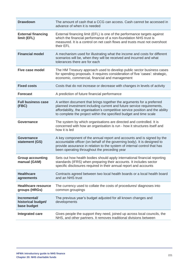| <b>Drawdown</b>                                   | The amount of cash that a CCG can access. Cash cannot be accessed in<br>advance of when it is needed                                                                                                                                                                                                   |
|---------------------------------------------------|--------------------------------------------------------------------------------------------------------------------------------------------------------------------------------------------------------------------------------------------------------------------------------------------------------|
| <b>External financing</b><br>limit (EFL)          | External financing limit (EFL) is one of the performance targets against<br>which the financial performance of a non-foundation NHS trust is<br>measured. It is a control on net cash flows and trusts must not overshoot<br>their EFL                                                                 |
| <b>Financial model</b>                            | A mechanism used for illustrating what the income and costs for different<br>scenarios will be, when they will be received and incurred and what<br>tolerances there are for each                                                                                                                      |
| <b>Five case model</b>                            | The HM Treasury approach used to develop public sector business cases<br>for spending proposals. It requires consideration of five 'cases': strategic,<br>economic, commercial, financial and management                                                                                               |
| <b>Fixed costs</b>                                | Costs that do not increase or decrease with changes in levels of activity                                                                                                                                                                                                                              |
| <b>Forecast</b>                                   | A prediction of future financial performance                                                                                                                                                                                                                                                           |
| <b>Full business case</b><br>(FBC)                | A written document that brings together the arguments for a preferred<br>planned investment including current and future service requirements,<br>affordability, the organisation's competitive service position and the ability<br>to complete the project within the specified budget and time scale |
| <b>Governance</b>                                 | The system by which organisations are directed and controlled. It is<br>concerned with how an organisation is run - how it structures itself and<br>how it is led                                                                                                                                      |
| Governance<br>statement (GS)                      | A key component of the annual report and accounts and is signed by the<br>accountable officer (on behalf of the governing body). It is designed to<br>provide assurance in relation to the system of internal control that has<br>been operating throughout the preceding year                         |
| <b>Group accounting</b><br>manual (GAM)           | Sets out how health bodies should apply international financial reporting<br>standards (IFRS) when preparing their accounts. It includes sector<br>specific disclosures required in their annual report and accounts                                                                                   |
| <b>Healthcare</b><br>agreements                   | Contracts agreed between two local health boards or a local health board<br>and an NHS trust                                                                                                                                                                                                           |
| <b>Healthcare resource</b><br>groups (HRGs)       | The currency used to collate the costs of procedures/ diagnoses into<br>common groupings                                                                                                                                                                                                               |
| Incremental/<br>historical budget/<br>base budget | The previous year's budget adjusted for all known changes and<br>developments                                                                                                                                                                                                                          |
| <b>Integrated care</b>                            | Gives people the support they need, joined up across local councils, the<br>NHS, and other partners. It removes traditional divisions between                                                                                                                                                          |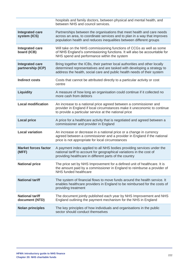|                                             | hospitals and family doctors, between physical and mental health, and<br>between NHS and council services.                                                                                                                       |
|---------------------------------------------|----------------------------------------------------------------------------------------------------------------------------------------------------------------------------------------------------------------------------------|
| <b>Integrated care</b><br>system (ICS)      | Partnerships between the organisations that meet health and care needs<br>across an area, to coordinate services and to plan in a way that improves<br>population health and reduces inequalities between different groups       |
| <b>Integrated care</b><br>board (ICB)       | Will take on the NHS commissioning functions of CCGs as well as some<br>of NHS England's commissioning functions. It will also be accountable for<br>NHS spend and performance within the system                                 |
| <b>Integrated care</b><br>partnership (ICP) | Bring together the ICBs, their partner local authorities and other locally<br>determined representatives and are tasked with developing a strategy to<br>address the health, social care and public health needs of their system |
| <b>Indirect costs</b>                       | Costs that cannot be attributed directly to a particular activity or cost<br>centre                                                                                                                                              |
| <b>Liquidity</b>                            | A measure of how long an organisation could continue if it collected no<br>more cash from debtors                                                                                                                                |
| <b>Local modification</b>                   | An increase to a national price agreed between a commissioner and<br>provider in England if local circumstances make it uneconomic to continue<br>to provide a particular service at the national price                          |
| <b>Local price</b>                          | A price for a healthcare activity that is negotiated and agreed between a<br>commissioner and provider in England                                                                                                                |
| <b>Local variation</b>                      | An increase or decrease in a national price or a change in currency<br>agreed between a commissioner and a provider in England if the national<br>price is not appropriate for local circumstances                               |
| <b>Market forces factor</b><br>(MFF)        | A payment index applied to all NHS bodies providing services under the<br>national tariff to account for geographical variations in the cost of<br>providing healthcare in different parts of the country                        |
| <b>National price</b>                       | The price set by NHS Improvement for a defined unit of healthcare. It is<br>the amount paid by a commissioner in England to reimburse a provider of<br>NHS funded healthcare                                                     |
| <b>National tariff</b>                      | The system of financial flows to move funds around the health service. It<br>enables healthcare providers in England to be reimbursed for the costs of<br>providing treatment                                                    |
| <b>National tariff</b><br>document (NTD)    | The document jointly published each year by NHS Improvement and NHS<br>England outlining the payment mechanism for the NHS in England                                                                                            |
| <b>Nolan principles</b>                     | The key principles of how individuals and organisations in the public<br>sector should conduct themselves                                                                                                                        |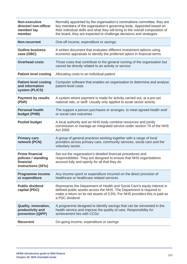| <b>Non-executive</b><br>director/ non-officer<br>member/ lay<br>member            | Normally appointed by the organisation's nominations committee, they are<br>key members of the organisation's governing body. Appointed based on<br>their individual skills and what they will bring to the overall composition of<br>the board, they are expected to challenge decisions and strategies |
|-----------------------------------------------------------------------------------|----------------------------------------------------------------------------------------------------------------------------------------------------------------------------------------------------------------------------------------------------------------------------------------------------------|
| <b>Non-recurrent</b>                                                              | One-off income, expenditure or savings                                                                                                                                                                                                                                                                   |
| <b>Outline business</b><br>case (OBC)                                             | A written document that evaluates different investment options using<br>economic appraisals to identify the preferred option in financial terms                                                                                                                                                          |
| <b>Overhead costs</b>                                                             | Those costs that contribute to the general running of the organisation but<br>cannot be directly related to an activity or service                                                                                                                                                                       |
| <b>Patient level costing</b>                                                      | Allocating costs to an individual patient                                                                                                                                                                                                                                                                |
| <b>Patient level costing</b><br>and information<br>system (PLICS)                 | Computer software that enables an organisation to determine and analyse<br>patient-level costs                                                                                                                                                                                                           |
| <b>Payment by results</b><br>(PbR)                                                | A system where payment is made for activity carried out, at a pre-set<br>national rate, or tariff. Usually only applied to acute sector activity                                                                                                                                                         |
| <b>Personal health</b><br>budget (PHB)                                            | The support a person purchases or arranges, to meet agreed health and/<br>or social care outcomes                                                                                                                                                                                                        |
| <b>Pooled budget</b>                                                              | A local authority and an NHS body combine resources and jointly<br>commission or manage an integrated service under section 75 of the NHS<br>Act 2006                                                                                                                                                    |
| <b>Primary care</b><br>network (PCN)                                              | A group of general practices working together with a range of local<br>providers across primary care, community services, social care and the<br>voluntary sector.                                                                                                                                       |
| <b>Prime financial</b><br>policies / standing<br>financial<br>instructions (SFIs) | Set out the organisation's detailed financial procedures and<br>responsibilities. They are designed to ensure that NHS organisations<br>account fully and openly for all that they do                                                                                                                    |
| <b>Programme income</b><br>or expenditure                                         | Any income spent or expenditure incurred on the direct provision of<br>healthcare or healthcare related services                                                                                                                                                                                         |
| <b>Public dividend</b><br>capital (PDC)                                           | Represents the Department of Health and Social Care's equity interest in<br>defined public assets across the NHS. The Department is required to<br>make a return on its net assets of 3.5%. For NHS providers this is paid as<br>a PDC dividend                                                          |
| Quality, innovation,<br>productivity and<br>prevention (QIPP)                     | A programme designed to identify savings that can be reinvested in the<br>health service and improve the quality of care. Responsibility for<br>achievement lies with CCGs                                                                                                                               |
| <b>Recurrent</b>                                                                  | On-going income, expenditure or savings                                                                                                                                                                                                                                                                  |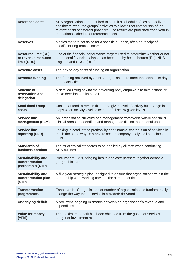| <b>Reference costs</b>                                           | NHS organisations are required to submit a schedule of costs of delivered<br>healthcare resource groups/ activities to allow direct comparison of the<br>relative costs of different providers. The results are published each year in<br>the national schedule of reference costs |
|------------------------------------------------------------------|------------------------------------------------------------------------------------------------------------------------------------------------------------------------------------------------------------------------------------------------------------------------------------|
| <b>Reserves</b>                                                  | Monies that are set aside for a specific purpose, often on receipt of<br>specific or ring-fenced income                                                                                                                                                                            |
| <b>Resource limit (RL)</b><br>or revenue resource<br>limit (RRL) | One of the financial performance targets used to determine whether or not<br>operational financial balance has been met by health boards (RL), NHS<br>England and CCGs (RRL)                                                                                                       |
| <b>Revenue costs</b>                                             | The day-to-day costs of running an organisation                                                                                                                                                                                                                                    |
| <b>Revenue funding</b>                                           | The funding received by an NHS organisation to meet the costs of its day-<br>to-day activities                                                                                                                                                                                     |
| <b>Scheme of</b><br>reservation and<br>delegation                | A detailed listing of who the governing body empowers to take actions or<br>make decisions on its behalf                                                                                                                                                                           |
| Semi fixed / step<br>costs                                       | Costs that tend to remain fixed for a given level of activity but change in<br>steps when activity levels exceed or fall below given levels                                                                                                                                        |
| <b>Service line</b><br>management (SLM)                          | An 'organisation structure and management framework' where specialist<br>clinical areas are identified and managed as distinct operational units                                                                                                                                   |
| <b>Service line</b><br>reporting (SLR)                           | Looking in detail at the profitability and financial contribution of services in<br>much the same way as a private sector company analyses its business<br>units                                                                                                                   |
| <b>Standards of</b><br>business conduct                          | The strict ethical standards to be applied by all staff when conducting<br><b>NHS business</b>                                                                                                                                                                                     |
| <b>Sustainability and</b><br>transformation<br>partnership (STP) | Precursor to ICSs, bringing health and care partners together across a<br>geographical area                                                                                                                                                                                        |
| <b>Sustainability and</b><br>transformation plan<br>(STP)        | A five-year strategic plan, designed to ensure that organisations within the<br>partnership were working towards the same priorities                                                                                                                                               |
| <b>Transformation</b><br>programmes                              | Enable an NHS organisation or number of organisations to fundamentally<br>change the way that a service is provided/ delivered                                                                                                                                                     |
| <b>Underlying deficit</b>                                        | A recurrent, ongoing mismatch between an organisation's revenue and<br>expenditure                                                                                                                                                                                                 |
| <b>Value for money</b><br>(VFM)                                  | The maximum benefit has been obtained from the goods or services<br>bought or investment made                                                                                                                                                                                      |